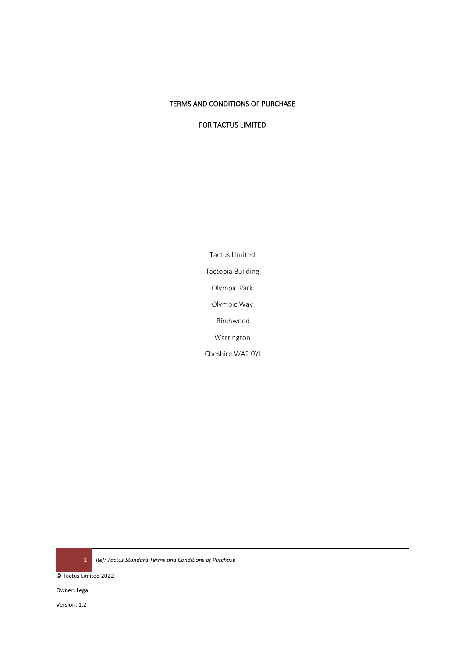# TERMS AND CONDITIONS OF PURCHASE

FOR TACTUS LIMITED

Tactus Limited Tactopia Building Olympic Park Olympic Way Birchwood Warrington Cheshire WA2 0YL

1 *Ref: Tactus Standard Terms and Conditions of Purchase* 

© Tactus Limited 2022

Owner: Legal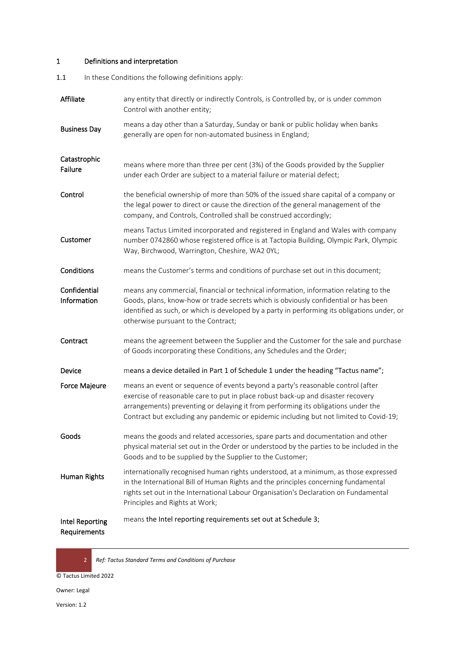# 1 Definitions and interpretation

1.1 In these Conditions the following definitions apply:

| Affiliate                       | any entity that directly or indirectly Controls, is Controlled by, or is under common<br>Control with another entity;                                                                                                                                                                                                                              |  |  |
|---------------------------------|----------------------------------------------------------------------------------------------------------------------------------------------------------------------------------------------------------------------------------------------------------------------------------------------------------------------------------------------------|--|--|
| <b>Business Day</b>             | means a day other than a Saturday, Sunday or bank or public holiday when banks<br>generally are open for non-automated business in England;                                                                                                                                                                                                        |  |  |
| Catastrophic<br>Failure         | means where more than three per cent (3%) of the Goods provided by the Supplier<br>under each Order are subject to a material failure or material defect;                                                                                                                                                                                          |  |  |
| Control                         | the beneficial ownership of more than 50% of the issued share capital of a company or<br>the legal power to direct or cause the direction of the general management of the<br>company, and Controls, Controlled shall be construed accordingly;                                                                                                    |  |  |
| Customer                        | means Tactus Limited incorporated and registered in England and Wales with company<br>number 0742860 whose registered office is at Tactopia Building, Olympic Park, Olympic<br>Way, Birchwood, Warrington, Cheshire, WA2 0YL;                                                                                                                      |  |  |
| Conditions                      | means the Customer's terms and conditions of purchase set out in this document;                                                                                                                                                                                                                                                                    |  |  |
| Confidential<br>Information     | means any commercial, financial or technical information, information relating to the<br>Goods, plans, know-how or trade secrets which is obviously confidential or has been<br>identified as such, or which is developed by a party in performing its obligations under, or<br>otherwise pursuant to the Contract;                                |  |  |
| Contract                        | means the agreement between the Supplier and the Customer for the sale and purchase<br>of Goods incorporating these Conditions, any Schedules and the Order;                                                                                                                                                                                       |  |  |
| Device                          | means a device detailed in Part 1 of Schedule 1 under the heading "Tactus name";                                                                                                                                                                                                                                                                   |  |  |
| Force Majeure                   | means an event or sequence of events beyond a party's reasonable control (after<br>exercise of reasonable care to put in place robust back-up and disaster recovery<br>arrangements) preventing or delaying it from performing its obligations under the<br>Contract but excluding any pandemic or epidemic including but not limited to Covid-19; |  |  |
| Goods                           | means the goods and related accessories, spare parts and documentation and other<br>physical material set out in the Order or understood by the parties to be included in the<br>Goods and to be supplied by the Supplier to the Customer;                                                                                                         |  |  |
| Human Rights                    | internationally recognised human rights understood, at a minimum, as those expressed<br>in the International Bill of Human Rights and the principles concerning fundamental<br>rights set out in the International Labour Organisation's Declaration on Fundamental<br>Principles and Rights at Work;                                              |  |  |
| Intel Reporting<br>Requirements | means the Intel reporting requirements set out at Schedule 3;                                                                                                                                                                                                                                                                                      |  |  |

2 *Ref: Tactus Standard Terms and Conditions of Purchase* 

© Tactus Limited 2022

Owner: Legal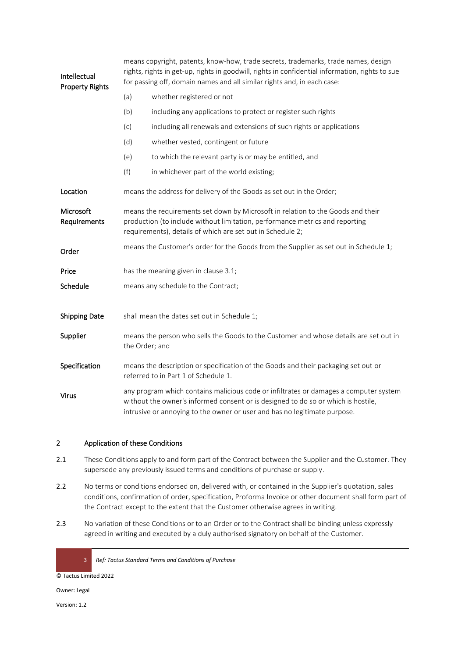| Intellectual<br><b>Property Rights</b> | means copyright, patents, know-how, trade secrets, trademarks, trade names, design<br>rights, rights in get-up, rights in goodwill, rights in confidential information, rights to sue<br>for passing off, domain names and all similar rights and, in each case: |                                                                                                                                                                                                                                                         |  |
|----------------------------------------|------------------------------------------------------------------------------------------------------------------------------------------------------------------------------------------------------------------------------------------------------------------|---------------------------------------------------------------------------------------------------------------------------------------------------------------------------------------------------------------------------------------------------------|--|
|                                        | (a)                                                                                                                                                                                                                                                              | whether registered or not                                                                                                                                                                                                                               |  |
|                                        | (b)                                                                                                                                                                                                                                                              | including any applications to protect or register such rights                                                                                                                                                                                           |  |
|                                        | (c)                                                                                                                                                                                                                                                              | including all renewals and extensions of such rights or applications                                                                                                                                                                                    |  |
|                                        | (d)                                                                                                                                                                                                                                                              | whether vested, contingent or future                                                                                                                                                                                                                    |  |
|                                        | (e)                                                                                                                                                                                                                                                              | to which the relevant party is or may be entitled, and                                                                                                                                                                                                  |  |
|                                        | (f)                                                                                                                                                                                                                                                              | in whichever part of the world existing;                                                                                                                                                                                                                |  |
| Location                               | means the address for delivery of the Goods as set out in the Order;                                                                                                                                                                                             |                                                                                                                                                                                                                                                         |  |
| Microsoft<br>Requirements              | means the requirements set down by Microsoft in relation to the Goods and their<br>production (to include without limitation, performance metrics and reporting<br>requirements), details of which are set out in Schedule 2;                                    |                                                                                                                                                                                                                                                         |  |
| Order                                  |                                                                                                                                                                                                                                                                  | means the Customer's order for the Goods from the Supplier as set out in Schedule 1;                                                                                                                                                                    |  |
| Price                                  | has the meaning given in clause 3.1;                                                                                                                                                                                                                             |                                                                                                                                                                                                                                                         |  |
| Schedule                               | means any schedule to the Contract;                                                                                                                                                                                                                              |                                                                                                                                                                                                                                                         |  |
|                                        |                                                                                                                                                                                                                                                                  |                                                                                                                                                                                                                                                         |  |
| <b>Shipping Date</b>                   |                                                                                                                                                                                                                                                                  | shall mean the dates set out in Schedule 1;                                                                                                                                                                                                             |  |
| Supplier                               | means the person who sells the Goods to the Customer and whose details are set out in<br>the Order; and                                                                                                                                                          |                                                                                                                                                                                                                                                         |  |
| Specification                          |                                                                                                                                                                                                                                                                  | means the description or specification of the Goods and their packaging set out or<br>referred to in Part 1 of Schedule 1.                                                                                                                              |  |
| <b>Virus</b>                           |                                                                                                                                                                                                                                                                  | any program which contains malicious code or infiltrates or damages a computer system<br>without the owner's informed consent or is designed to do so or which is hostile,<br>intrusive or annoying to the owner or user and has no legitimate purpose. |  |

# 2 Application of these Conditions

- 2.1 These Conditions apply to and form part of the Contract between the Supplier and the Customer. They supersede any previously issued terms and conditions of purchase or supply.
- 2.2 No terms or conditions endorsed on, delivered with, or contained in the Supplier's quotation, sales conditions, confirmation of order, specification, Proforma Invoice or other document shall form part of the Contract except to the extent that the Customer otherwise agrees in writing.
- 2.3 No variation of these Conditions or to an Order or to the Contract shall be binding unless expressly agreed in writing and executed by a duly authorised signatory on behalf of the Customer.

3 *Ref: Tactus Standard Terms and Conditions of Purchase* 

© Tactus Limited 2022

Owner: Legal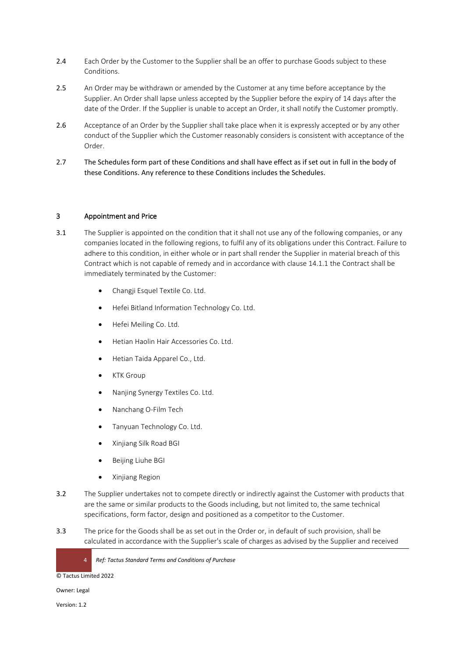- 2.4 Each Order by the Customer to the Supplier shall be an offer to purchase Goods subject to these Conditions.
- 2.5 An Order may be withdrawn or amended by the Customer at any time before acceptance by the Supplier. An Order shall lapse unless accepted by the Supplier before the expiry of 14 days after the date of the Order. If the Supplier is unable to accept an Order, it shall notify the Customer promptly.
- 2.6 Acceptance of an Order by the Supplier shall take place when it is expressly accepted or by any other conduct of the Supplier which the Customer reasonably considers is consistent with acceptance of the Order.
- 2.7 The Schedules form part of these Conditions and shall have effect as if set out in full in the body of these Conditions. Any reference to these Conditions includes the Schedules.

## 3 Appointment and Price

- <span id="page-3-0"></span>3.1 The Supplier is appointed on the condition that it shall not use any of the following companies, or any companies located in the following regions, to fulfil any of its obligations under this Contract. Failure to adhere to this condition, in either whole or in part shall render the Supplier in material breach of this Contract which is not capable of remedy and in accordance with clause 14.1.1 the Contract shall be immediately terminated by the Customer:
	- Changji Esquel Textile Co. Ltd.
	- Hefei Bitland Information Technology Co. Ltd.
	- Hefei Meiling Co. Ltd.
	- Hetian Haolin Hair Accessories Co. Ltd.
	- Hetian Taida Apparel Co., Ltd.
	- **KTK Group**
	- Nanjing Synergy Textiles Co. Ltd.
	- Nanchang O-Film Tech
	- Tanyuan Technology Co. Ltd.
	- Xinjiang Silk Road BGI
	- Beijing Liuhe BGI
	- Xinjiang Region
- 3.2 The Supplier undertakes not to compete directly or indirectly against the Customer with products that are the same or similar products to the Goods including, but not limited to, the same technical specifications, form factor, design and positioned as a competitor to the Customer.
- 3.3 The price for the Goods shall be as set out in the Order or, in default of such provision, shall be calculated in accordance with the Supplier's scale of charges as advised by the Supplier and received

4 *Ref: Tactus Standard Terms and Conditions of Purchase* 

© Tactus Limited 2022

Owner: Legal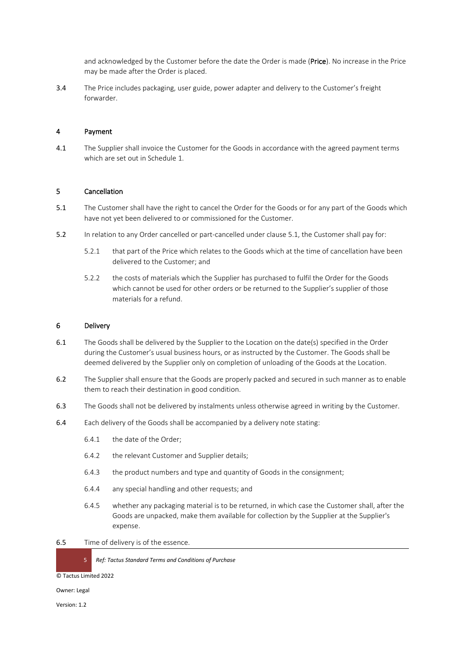and acknowledged by the Customer before the date the Order is made (Price). No increase in the Price may be made after the Order is placed.

3.4 The Price includes packaging, user guide, power adapter and delivery to the Customer's freight forwarder.

#### 4 Payment

4.1 The Supplier shall invoice the Customer for the Goods in accordance with the agreed payment terms which are set out in Schedule 1.

#### 5 Cancellation

- <span id="page-4-0"></span>5.1 The Customer shall have the right to cancel the Order for the Goods or for any part of the Goods which have not yet been delivered to or commissioned for the Customer.
- 5.2 In relation to any Order cancelled or part-cancelled under clause [5.1,](#page-4-0) the Customer shall pay for:
	- 5.2.1 that part of the Price which relates to the Goods which at the time of cancellation have been delivered to the Customer; and
	- 5.2.2 the costs of materials which the Supplier has purchased to fulfil the Order for the Goods which cannot be used for other orders or be returned to the Supplier's supplier of those materials for a refund.

#### 6 Delivery

- 6.1 The Goods shall be delivered by the Supplier to the Location on the date(s) specified in the Order during the Customer's usual business hours, or as instructed by the Customer. The Goods shall be deemed delivered by the Supplier only on completion of unloading of the Goods at the Location.
- 6.2 The Supplier shall ensure that the Goods are properly packed and secured in such manner as to enable them to reach their destination in good condition.
- 6.3 The Goods shall not be delivered by instalments unless otherwise agreed in writing by the Customer.
- 6.4 Each delivery of the Goods shall be accompanied by a delivery note stating:
	- 6.4.1 the date of the Order;
	- 6.4.2 the relevant Customer and Supplier details;
	- 6.4.3 the product numbers and type and quantity of Goods in the consignment;
	- 6.4.4 any special handling and other requests; and
	- 6.4.5 whether any packaging material is to be returned, in which case the Customer shall, after the Goods are unpacked, make them available for collection by the Supplier at the Supplier's expense.
- 6.5 Time of delivery is of the essence.

5 *Ref: Tactus Standard Terms and Conditions of Purchase* 

© Tactus Limited 2022

Owner: Legal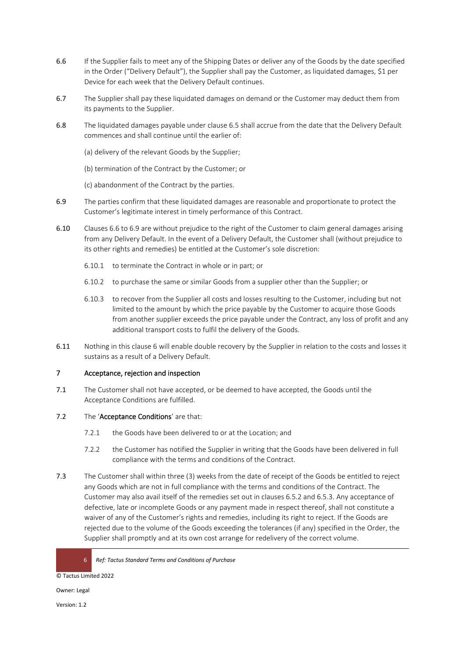- 6.6 If the Supplier fails to meet any of the Shipping Dates or deliver any of the Goods by the date specified in the Order ("Delivery Default"), the Supplier shall pay the Customer, as liquidated damages, \$1 per Device for each week that the Delivery Default continues.
- 6.7 The Supplier shall pay these liquidated damages on demand or the Customer may deduct them from its payments to the Supplier.
- 6.8 The liquidated damages payable under clause 6.5 shall accrue from the date that the Delivery Default commences and shall continue until the earlier of:
	- (a) delivery of the relevant Goods by the Supplier;
	- (b) termination of the Contract by the Customer; or
	- (c) abandonment of the Contract by the parties.
- 6.9 The parties confirm that these liquidated damages are reasonable and proportionate to protect the Customer's legitimate interest in timely performance of this Contract.
- 6.10 Clauses 6.6 to 6.9 are without prejudice to the right of the Customer to claim general damages arising from any Delivery Default. In the event of a Delivery Default, the Customer shall (without prejudice to its other rights and remedies) be entitled at the Customer's sole discretion:
	- 6.10.1 to terminate the Contract in whole or in part; or
	- 6.10.2 to purchase the same or similar Goods from a supplier other than the Supplier; or
	- 6.10.3 to recover from the Supplier all costs and losses resulting to the Customer, including but not limited to the amount by which the price payable by the Customer to acquire those Goods from another supplier exceeds the price payable under the Contract, any loss of profit and any additional transport costs to fulfil the delivery of the Goods.
- 6.11 Nothing in this clause 6 will enable double recovery by the Supplier in relation to the costs and losses it sustains as a result of a Delivery Default.

# 7 Acceptance, rejection and inspection

7.1 The Customer shall not have accepted, or be deemed to have accepted, the Goods until the Acceptance Conditions are fulfilled.

# 7.2 The 'Acceptance Conditions' are that:

- 7.2.1 the Goods have been delivered to or at the Location; and
- 7.2.2 the Customer has notified the Supplier in writing that the Goods have been delivered in full compliance with the terms and conditions of the Contract.
- 7.3 The Customer shall within three (3) weeks from the date of receipt of the Goods be entitled to reject any Goods which are not in full compliance with the terms and conditions of the Contract. The Customer may also avail itself of the remedies set out in clauses 6.5.2 and 6.5.3. Any acceptance of defective, late or incomplete Goods or any payment made in respect thereof, shall not constitute a waiver of any of the Customer's rights and remedies, including its right to reject. If the Goods are rejected due to the volume of the Goods exceeding the tolerances (if any) specified in the Order, the Supplier shall promptly and at its own cost arrange for redelivery of the correct volume.

© Tactus Limited 2022

Owner: Legal

<sup>6</sup> *Ref: Tactus Standard Terms and Conditions of Purchase*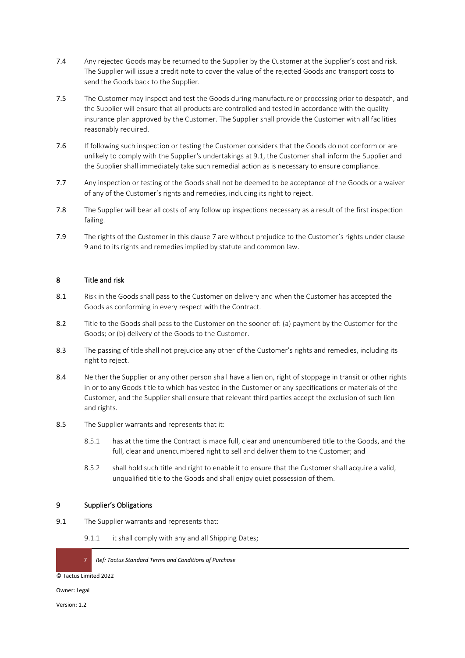- 7.4 Any rejected Goods may be returned to the Supplier by the Customer at the Supplier's cost and risk. The Supplier will issue a credit note to cover the value of the rejected Goods and transport costs to send the Goods back to the Supplier.
- 7.5 The Customer may inspect and test the Goods during manufacture or processing prior to despatch, and the Supplier will ensure that all products are controlled and tested in accordance with the quality insurance plan approved by the Customer. The Supplier shall provide the Customer with all facilities reasonably required.
- 7.6 If following such inspection or testing the Customer considers that the Goods do not conform or are unlikely to comply with the Supplier's undertakings at 9.1, the Customer shall inform the Supplier and the Supplier shall immediately take such remedial action as is necessary to ensure compliance.
- 7.7 Any inspection or testing of the Goods shall not be deemed to be acceptance of the Goods or a waiver of any of the Customer's rights and remedies, including its right to reject.
- 7.8 The Supplier will bear all costs of any follow up inspections necessary as a result of the first inspection failing.
- 7.9 The rights of the Customer in this clause 7 are without prejudice to the Customer's rights under clause 9 and to its rights and remedies implied by statute and common law.

# 8 Title and risk

- 8.1 Risk in the Goods shall pass to the Customer on delivery and when the Customer has accepted the Goods as conforming in every respect with the Contract.
- 8.2 Title to the Goods shall pass to the Customer on the sooner of: (a) payment by the Customer for the Goods; or (b) delivery of the Goods to the Customer.
- 8.3 The passing of title shall not prejudice any other of the Customer's rights and remedies, including its right to reject.
- 8.4 Neither the Supplier or any other person shall have a lien on, right of stoppage in transit or other rights in or to any Goods title to which has vested in the Customer or any specifications or materials of the Customer, and the Supplier shall ensure that relevant third parties accept the exclusion of such lien and rights.
- 8.5 The Supplier warrants and represents that it:
	- 8.5.1 has at the time the Contract is made full, clear and unencumbered title to the Goods, and the full, clear and unencumbered right to sell and deliver them to the Customer; and
	- 8.5.2 shall hold such title and right to enable it to ensure that the Customer shall acquire a valid, unqualified title to the Goods and shall enjoy quiet possession of them.

#### 9 Supplier's Obligations

- 9.1 The Supplier warrants and represents that:
	- 9.1.1 it shall comply with any and all Shipping Dates;

7 *Ref: Tactus Standard Terms and Conditions of Purchase* 

© Tactus Limited 2022

Owner: Legal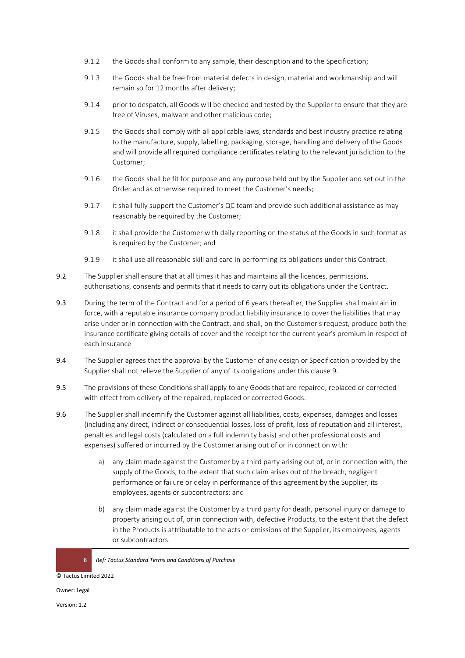- 9.1.2 the Goods shall conform to any sample, their description and to the Specification;
- 9.1.3 the Goods shall be free from material defects in design, material and workmanship and will remain so for 12 months after delivery;
- 9.1.4 prior to despatch, all Goods will be checked and tested by the Supplier to ensure that they are free of Viruses, malware and other malicious code;
- 9.1.5 the Goods shall comply with all applicable laws, standards and best industry practice relating to the manufacture, supply, labelling, packaging, storage, handling and delivery of the Goods and will provide all required compliance certificates relating to the relevant jurisdiction to the Customer;
- 9.1.6 the Goods shall be fit for purpose and any purpose held out by the Supplier and set out in the Order and as otherwise required to meet the Customer's needs;
- 9.1.7 it shall fully support the Customer's QC team and provide such additional assistance as may reasonably be required by the Customer;
- 9.1.8 it shall provide the Customer with daily reporting on the status of the Goods in such format as is required by the Customer; and
- 9.1.9 it shall use all reasonable skill and care in performing its obligations under this Contract.
- 9.2 The Supplier shall ensure that at all times it has and maintains all the licences, permissions, authorisations, consents and permits that it needs to carry out its obligations under the Contract.
- 9.3 During the term of the Contract and for a period of 6 years thereafter, the Supplier shall maintain in force, with a reputable insurance company product liability insurance to cover the liabilities that may arise under or in connection with the Contract, and shall, on the Customer's request, produce both the insurance certificate giving details of cover and the receipt for the current year's premium in respect of each insurance
- 9.4 The Supplier agrees that the approval by the Customer of any design or Specification provided by the Supplier shall not relieve the Supplier of any of its obligations under this clause 9.
- 9.5 The provisions of these Conditions shall apply to any Goods that are repaired, replaced or corrected with effect from delivery of the repaired, replaced or corrected Goods.
- 9.6 The Supplier shall indemnify the Customer against all liabilities, costs, expenses, damages and losses (including any direct, indirect or consequential losses, loss of profit, loss of reputation and all interest, penalties and legal costs (calculated on a full indemnity basis) and other professional costs and expenses) suffered or incurred by the Customer arising out of or in connection with:
	- a) any claim made against the Customer by a third party arising out of, or in connection with, the supply of the Goods, to the extent that such claim arises out of the breach, negligent performance or failure or delay in performance of this agreement by the Supplier, its employees, agents or subcontractors; and
	- b) any claim made against the Customer by a third party for death, personal injury or damage to property arising out of, or in connection with, defective Products, to the extent that the defect in the Products is attributable to the acts or omissions of the Supplier, its employees, agents or subcontractors.

© Tactus Limited 2022

Owner: Legal

<sup>8</sup> *Ref: Tactus Standard Terms and Conditions of Purchase*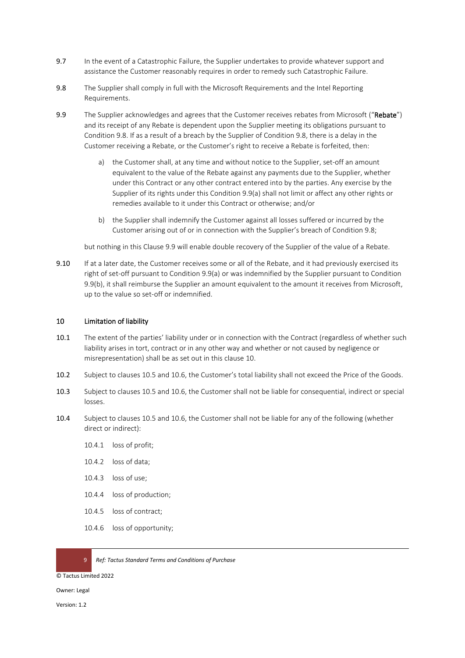- 9.7 In the event of a Catastrophic Failure, the Supplier undertakes to provide whatever support and assistance the Customer reasonably requires in order to remedy such Catastrophic Failure.
- 9.8 The Supplier shall comply in full with the Microsoft Requirements and the Intel Reporting Requirements.
- 9.9 The Supplier acknowledges and agrees that the Customer receives rebates from Microsoft ("Rebate") and its receipt of any Rebate is dependent upon the Supplier meeting its obligations pursuant to Condition 9.8. If as a result of a breach by the Supplier of Condition 9.8, there is a delay in the Customer receiving a Rebate, or the Customer's right to receive a Rebate is forfeited, then:
	- a) the Customer shall, at any time and without notice to the Supplier, set-off an amount equivalent to the value of the Rebate against any payments due to the Supplier, whether under this Contract or any other contract entered into by the parties. Any exercise by the Supplier of its rights under this Condition 9.9(a) shall not limit or affect any other rights or remedies available to it under this Contract or otherwise; and/or
	- b) the Supplier shall indemnify the Customer against all losses suffered or incurred by the Customer arising out of or in connection with the Supplier's breach of Condition 9.8;

but nothing in this Clause 9.9 will enable double recovery of the Supplier of the value of a Rebate.

9.10 If at a later date, the Customer receives some or all of the Rebate, and it had previously exercised its right of set-off pursuant to Condition 9.9(a) or was indemnified by the Supplier pursuant to Condition 9.9(b), it shall reimburse the Supplier an amount equivalent to the amount it receives from Microsoft, up to the value so set-off or indemnified.

#### <span id="page-8-0"></span>10 Limitation of liability

- 10.1 The extent of the parties' liability under or in connection with the Contract (regardless of whether such liability arises in tort, contract or in any other way and whether or not caused by negligence or misrepresentation) shall be as set out in this clause [10.](#page-8-0)
- <span id="page-8-1"></span>10.2 Subject to clauses [10.5](#page-9-0) an[d 10.6,](#page-9-1) the Customer's total liability shall not exceed the Price of the Goods.
- 10.3 Subject to clauses [10.5](#page-9-0) an[d 10.6,](#page-9-1) the Customer shall not be liable for consequential, indirect or special losses.
- <span id="page-8-2"></span>10.4 Subject to clauses [10.5](#page-9-0) an[d 10.6,](#page-9-1) the Customer shall not be liable for any of the following (whether direct or indirect):
	- 10.4.1 loss of profit;
	- 10.4.2 loss of data;
	- 10.4.3 loss of use;
	- 10.4.4 loss of production;
	- 10.4.5 loss of contract;
	- 10.4.6 loss of opportunity;

9 *Ref: Tactus Standard Terms and Conditions of Purchase* 

© Tactus Limited 2022

Owner: Legal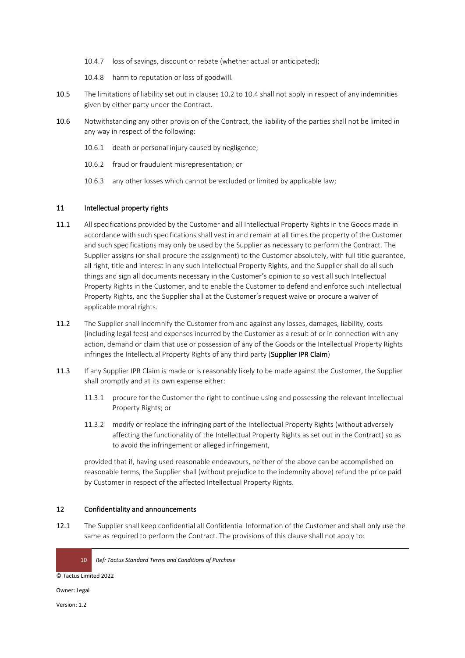- 10.4.7 loss of savings, discount or rebate (whether actual or anticipated);
- 10.4.8 harm to reputation or loss of goodwill.
- <span id="page-9-0"></span>10.5 The limitations of liability set out in clause[s 10.2](#page-8-1) to [10.4](#page-8-2) shall not apply in respect of any indemnities given by either party under the Contract.
- <span id="page-9-1"></span>10.6 Notwithstanding any other provision of the Contract, the liability of the parties shall not be limited in any way in respect of the following:
	- 10.6.1 death or personal injury caused by negligence;
	- 10.6.2 fraud or fraudulent misrepresentation; or
	- 10.6.3 any other losses which cannot be excluded or limited by applicable law;

#### 11 Intellectual property rights

- 11.1 All specifications provided by the Customer and all Intellectual Property Rights in the Goods made in accordance with such specifications shall vest in and remain at all times the property of the Customer and such specifications may only be used by the Supplier as necessary to perform the Contract. The Supplier assigns (or shall procure the assignment) to the Customer absolutely, with full title guarantee, all right, title and interest in any such Intellectual Property Rights, and the Supplier shall do all such things and sign all documents necessary in the Customer's opinion to so vest all such Intellectual Property Rights in the Customer, and to enable the Customer to defend and enforce such Intellectual Property Rights, and the Supplier shall at the Customer's request waive or procure a waiver of applicable moral rights.
- 11.2 The Supplier shall indemnify the Customer from and against any losses, damages, liability, costs (including legal fees) and expenses incurred by the Customer as a result of or in connection with any action, demand or claim that use or possession of any of the Goods or the Intellectual Property Rights infringes the Intellectual Property Rights of any third party (Supplier IPR Claim)
- 11.3 If any Supplier IPR Claim is made or is reasonably likely to be made against the Customer, the Supplier shall promptly and at its own expense either:
	- 11.3.1 procure for the Customer the right to continue using and possessing the relevant Intellectual Property Rights; or
	- 11.3.2 modify or replace the infringing part of the Intellectual Property Rights (without adversely affecting the functionality of the Intellectual Property Rights as set out in the Contract) so as to avoid the infringement or alleged infringement,

provided that if, having used reasonable endeavours, neither of the above can be accomplished on reasonable terms, the Supplier shall (without prejudice to the indemnity above) refund the price paid by Customer in respect of the affected Intellectual Property Rights.

#### 12 Confidentiality and announcements

12.1 The Supplier shall keep confidential all Confidential Information of the Customer and shall only use the same as required to perform the Contract. The provisions of this clause shall not apply to:

© Tactus Limited 2022

Owner: Legal

<sup>10</sup> *Ref: Tactus Standard Terms and Conditions of Purchase*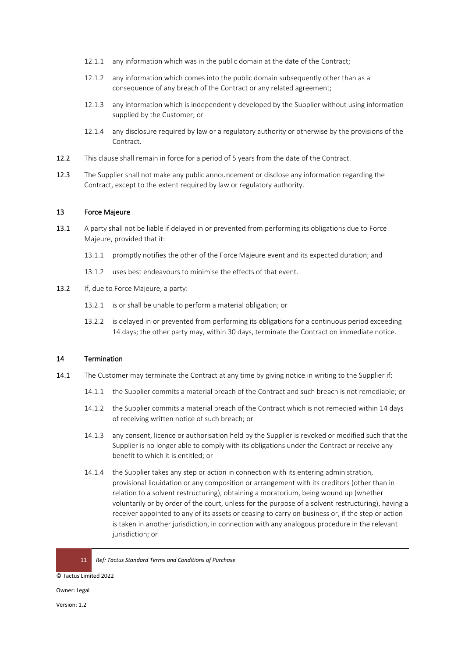- 12.1.1 any information which was in the public domain at the date of the Contract;
- 12.1.2 any information which comes into the public domain subsequently other than as a consequence of any breach of the Contract or any related agreement;
- 12.1.3 any information which is independently developed by the Supplier without using information supplied by the Customer; or
- 12.1.4 any disclosure required by law or a regulatory authority or otherwise by the provisions of the **Contract**
- 12.2 This clause shall remain in force for a period of 5 years from the date of the Contract.
- 12.3 The Supplier shall not make any public announcement or disclose any information regarding the Contract, except to the extent required by law or regulatory authority.

#### 13 Force Majeure

- 13.1 A party shall not be liable if delayed in or prevented from performing its obligations due to Force Majeure, provided that it:
	- 13.1.1 promptly notifies the other of the Force Majeure event and its expected duration; and
	- 13.1.2 uses best endeavours to minimise the effects of that event.
- 13.2 If, due to Force Majeure, a party:
	- 13.2.1 is or shall be unable to perform a material obligation; or
	- 13.2.2 is delayed in or prevented from performing its obligations for a continuous period exceeding 14 days; the other party may, within 30 days, terminate the Contract on immediate notice.

# 14 Termination

- 14.1 The Customer may terminate the Contract at any time by giving notice in writing to the Supplier if:
	- 14.1.1 the Supplier commits a material breach of the Contract and such breach is not remediable; or
	- 14.1.2 the Supplier commits a material breach of the Contract which is not remedied within 14 days of receiving written notice of such breach; or
	- 14.1.3 any consent, licence or authorisation held by the Supplier is revoked or modified such that the Supplier is no longer able to comply with its obligations under the Contract or receive any benefit to which it is entitled; or
	- 14.1.4 the Supplier takes any step or action in connection with its entering administration, provisional liquidation or any composition or arrangement with its creditors (other than in relation to a solvent restructuring), obtaining a moratorium, being wound up (whether voluntarily or by order of the court, unless for the purpose of a solvent restructuring), having a receiver appointed to any of its assets or ceasing to carry on business or, if the step or action is taken in another jurisdiction, in connection with any analogous procedure in the relevant jurisdiction; or

© Tactus Limited 2022

Owner: Legal

<sup>11</sup> *Ref: Tactus Standard Terms and Conditions of Purchase*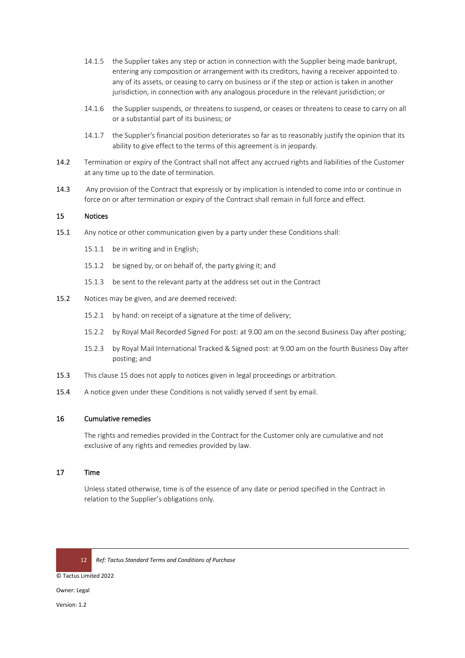- 14.1.5 the Supplier takes any step or action in connection with the Supplier being made bankrupt, entering any composition or arrangement with its creditors, having a receiver appointed to any of its assets, or ceasing to carry on business or if the step or action is taken in another jurisdiction, in connection with any analogous procedure in the relevant jurisdiction; or
- 14.1.6 the Supplier suspends, or threatens to suspend, or ceases or threatens to cease to carry on all or a substantial part of its business; or
- 14.1.7 the Supplier's financial position deteriorates so far as to reasonably justify the opinion that its ability to give effect to the terms of this agreement is in jeopardy.
- 14.2 Termination or expiry of the Contract shall not affect any accrued rights and liabilities of the Customer at any time up to the date of termination.
- 14.3 Any provision of the Contract that expressly or by implication is intended to come into or continue in force on or after termination or expiry of the Contract shall remain in full force and effect.

### <span id="page-11-0"></span>15 Notices

- 15.1 Any notice or other communication given by a party under these Conditions shall:
	- 15.1.1 be in writing and in English;
	- 15.1.2 be signed by, or on behalf of, the party giving it; and
	- 15.1.3 be sent to the relevant party at the address set out in the Contract
- 15.2 Notices may be given, and are deemed received:
	- 15.2.1 by hand: on receipt of a signature at the time of delivery;
	- 15.2.2 by Royal Mail Recorded Signed For post: at 9.00 am on the second Business Day after posting;
	- 15.2.3 by Royal Mail International Tracked & Signed post: at 9.00 am on the fourth Business Day after posting; and
- 15.3 This clause [15](#page-11-0) does not apply to notices given in legal proceedings or arbitration.
- 15.4 A notice given under these Conditions is not validly served if sent by email.

#### 16 Cumulative remedies

The rights and remedies provided in the Contract for the Customer only are cumulative and not exclusive of any rights and remedies provided by law.

#### 17 Time

Unless stated otherwise, time is of the essence of any date or period specified in the Contract in relation to the Supplier's obligations only.



12 *Ref: Tactus Standard Terms and Conditions of Purchase* 

© Tactus Limited 2022

Owner: Legal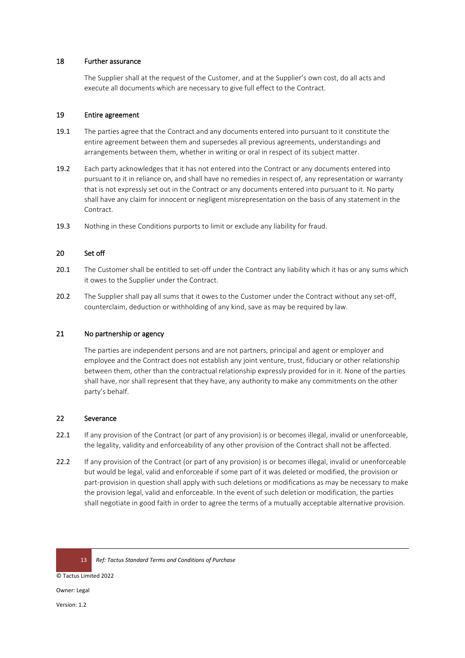#### 18 Further assurance

The Supplier shall at the request of the Customer, and at the Supplier's own cost, do all acts and execute all documents which are necessary to give full effect to the Contract.

#### 19 Entire agreement

- 19.1 The parties agree that the Contract and any documents entered into pursuant to it constitute the entire agreement between them and supersedes all previous agreements, understandings and arrangements between them, whether in writing or oral in respect of its subject matter.
- 19.2 Each party acknowledges that it has not entered into the Contract or any documents entered into pursuant to it in reliance on, and shall have no remedies in respect of, any representation or warranty that is not expressly set out in the Contract or any documents entered into pursuant to it. No party shall have any claim for innocent or negligent misrepresentation on the basis of any statement in the Contract.
- 19.3 Nothing in these Conditions purports to limit or exclude any liability for fraud.

### 20 Set off

- 20.1 The Customer shall be entitled to set-off under the Contract any liability which it has or any sums which it owes to the Supplier under the Contract.
- 20.2 The Supplier shall pay all sums that it owes to the Customer under the Contract without any set-off, counterclaim, deduction or withholding of any kind, save as may be required by law.

#### 21 No partnership or agency

The parties are independent persons and are not partners, principal and agent or employer and employee and the Contract does not establish any joint venture, trust, fiduciary or other relationship between them, other than the contractual relationship expressly provided for in it. None of the parties shall have, nor shall represent that they have, any authority to make any commitments on the other party's behalf.

#### 22 Severance

- 22.1 If any provision of the Contract (or part of any provision) is or becomes illegal, invalid or unenforceable, the legality, validity and enforceability of any other provision of the Contract shall not be affected.
- 22.2 If any provision of the Contract (or part of any provision) is or becomes illegal, invalid or unenforceable but would be legal, valid and enforceable if some part of it was deleted or modified, the provision or part-provision in question shall apply with such deletions or modifications as may be necessary to make the provision legal, valid and enforceable. In the event of such deletion or modification, the parties shall negotiate in good faith in order to agree the terms of a mutually acceptable alternative provision.

13 *Ref: Tactus Standard Terms and Conditions of Purchase* 

© Tactus Limited 2022

Owner: Legal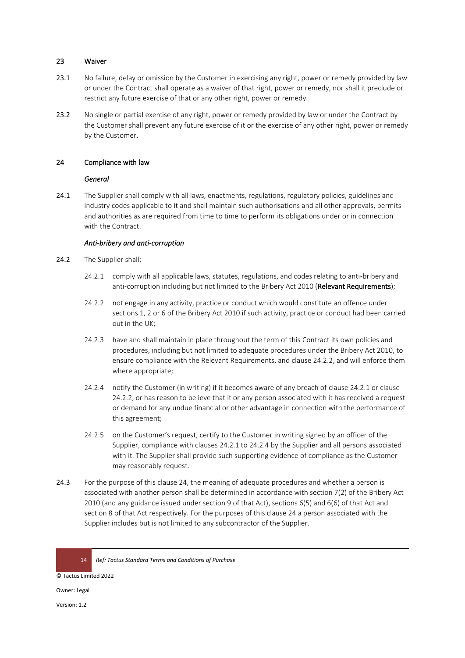#### 23 Waiver

- 23.1 No failure, delay or omission by the Customer in exercising any right, power or remedy provided by law or under the Contract shall operate as a waiver of that right, power or remedy, nor shall it preclude or restrict any future exercise of that or any other right, power or remedy.
- 23.2 No single or partial exercise of any right, power or remedy provided by law or under the Contract by the Customer shall prevent any future exercise of it or the exercise of any other right, power or remedy by the Customer.

#### 24 Compliance with law

#### *General*

24.1 The Supplier shall comply with all laws, enactments, regulations, regulatory policies, guidelines and industry codes applicable to it and shall maintain such authorisations and all other approvals, permits and authorities as are required from time to time to perform its obligations under or in connection with the Contract.

#### <span id="page-13-0"></span>*Anti-bribery and anti-corruption*

- <span id="page-13-1"></span>24.2 The Supplier shall:
	- 24.2.1 comply with all applicable laws, statutes, regulations, and codes relating to anti-bribery and anti-corruption including but not limited to the Bribery Act 2010 (Relevant Requirements);
	- 24.2.2 not engage in any activity, practice or conduct which would constitute an offence under sections 1, 2 or 6 of the Bribery Act 2010 if such activity, practice or conduct had been carried out in the UK;
	- 24.2.3 have and shall maintain in place throughout the term of this Contract its own policies and procedures, including but not limited to adequate procedures under the Bribery Act 2010, to ensure compliance with the Relevant Requirements, an[d clause 2](#page-13-0)4.2.2, and will enforce them where appropriate;
	- 24.2.4 notify the Customer (in writing) if it becomes aware of any breach of [clause 2](#page-13-1)4.2.1 or [clause](#page-13-0)  24.2.2, or has reason to believe that it or any person associated with it has received a request or demand for any undue financial or other advantage in connection with the performance of this agreement;
	- 24.2.5 on the Customer's request, certify to the Customer in writing signed by an officer of the Supplier, compliance with clauses 24.2.1 to 24.2.4 by the Supplier and all persons associated with it. The Supplier shall provide such supporting evidence of compliance as the Customer may reasonably request.
- 24.3 For the purpose of this clause 24, the meaning of adequate procedures and whether a person is associated with another person shall be determined in accordance with section 7(2) of the Bribery Act 2010 (and any guidance issued under section 9 of that Act), sections 6(5) and 6(6) of that Act and section 8 of that Act respectively. For the purposes of this clause 24 a person associated with the Supplier includes but is not limited to any subcontractor of the Supplier.

© Tactus Limited 2022

Owner: Legal

<sup>14</sup> *Ref: Tactus Standard Terms and Conditions of Purchase*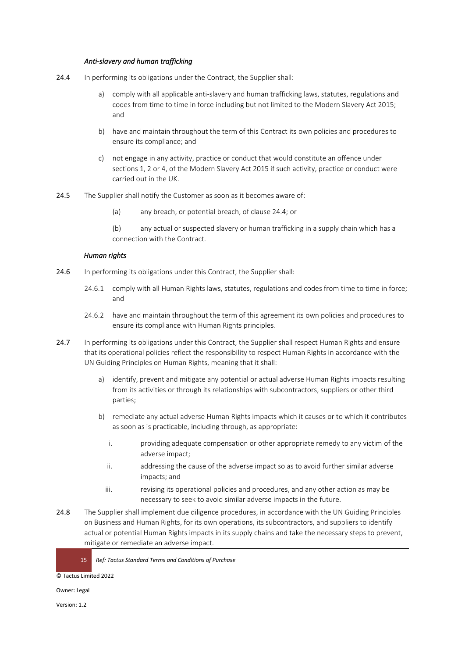#### *Anti-slavery and human trafficking*

- 24.4 In performing its obligations under the Contract, the Supplier shall:
	- a) comply with all applicable anti-slavery and human trafficking laws, statutes, regulations and codes from time to time in force including but not limited to the Modern Slavery Act 2015; and
	- b) have and maintain throughout the term of this Contract its own policies and procedures to ensure its compliance; and
	- c) not engage in any activity, practice or conduct that would constitute an offence under sections 1, 2 or 4, of the Modern Slavery Act 2015 if such activity, practice or conduct were carried out in the UK.
- 24.5 The Supplier shall notify the Customer as soon as it becomes aware of:
	- (a) any breach, or potential breach, of clause 24.4; or

(b) any actual or suspected slavery or human trafficking in a supply chain which has a connection with the Contract.

### *Human rights*

- 24.6 In performing its obligations under this Contract, the Supplier shall:
	- 24.6.1 comply with all Human Rights laws, statutes, regulations and codes from time to time in force; and
	- 24.6.2 have and maintain throughout the term of this agreement its own policies and procedures to ensure its compliance with Human Rights principles.
- 24.7 In performing its obligations under this Contract, the Supplier shall respect Human Rights and ensure that its operational policies reflect the responsibility to respect Human Rights in accordance with the UN Guiding Principles on Human Rights, meaning that it shall:
	- a) identify, prevent and mitigate any potential or actual adverse Human Rights impacts resulting from its activities or through its relationships with subcontractors, suppliers or other third parties;
	- b) remediate any actual adverse Human Rights impacts which it causes or to which it contributes as soon as is practicable, including through, as appropriate:
		- i. providing adequate compensation or other appropriate remedy to any victim of the adverse impact;
		- ii. addressing the cause of the adverse impact so as to avoid further similar adverse impacts; and
		- iii. revising its operational policies and procedures, and any other action as may be necessary to seek to avoid similar adverse impacts in the future.
- 24.8 The Supplier shall implement due diligence procedures, in accordance with the UN Guiding Principles on Business and Human Rights, for its own operations, its subcontractors, and suppliers to identify actual or potential Human Rights impacts in its supply chains and take the necessary steps to prevent, mitigate or remediate an adverse impact.

15 *Ref: Tactus Standard Terms and Conditions of Purchase* 

© Tactus Limited 2022

Owner: Legal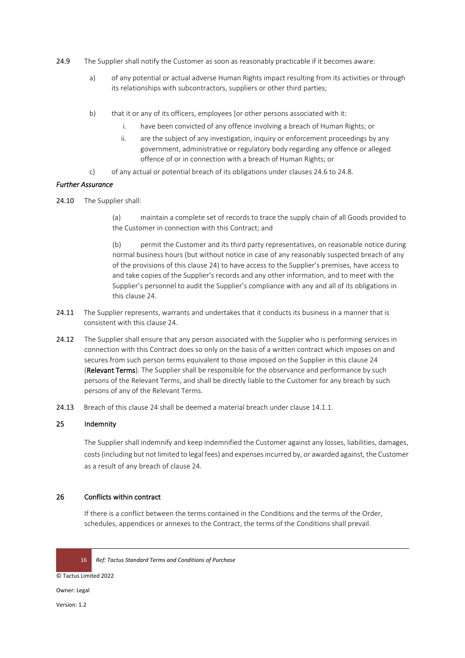- 24.9 The Supplier shall notify the Customer as soon as reasonably practicable if it becomes aware:
	- a) of any potential or actual adverse Human Rights impact resulting from its activities or through its relationships with subcontractors, suppliers or other third parties;
	- b) that it or any of its officers, employees [or other persons associated with it:
		- i. have been convicted of any offence involving a breach of Human Rights; or
		- ii. are the subject of any investigation, inquiry or enforcement proceedings by any government, administrative or regulatory body regarding any offence or alleged offence of or in connection with a breach of Human Rights; or
	- c) of any actual or potential breach of its obligations under clauses 24.6 to 24.8.

#### *Further Assurance*

24.10 The Supplier shall:

(a) maintain a complete set of records to trace the supply chain of all Goods provided to the Customer in connection with this Contract; and

(b) permit the Customer and its third party representatives, on reasonable notice during normal business hours (but without notice in case of any reasonably suspected breach of any of the provisions of this clause 24) to have access to the Supplier's premises, have access to and take copies of the Supplier's records and any other information, and to meet with the Supplier's personnel to audit the Supplier's compliance with any and all of its obligations in this clause 24.

- 24.11 The Supplier represents, warrants and undertakes that it conducts its business in a manner that is consistent with this clause 24.
- 24.12 The Supplier shall ensure that any person associated with the Supplier who is performing services in connection with this Contract does so only on the basis of a written contract which imposes on and secures from such person terms equivalent to those imposed on the Supplier in this clause 24 (Relevant Terms). The Supplier shall be responsible for the observance and performance by such persons of the Relevant Terms, and shall be directly liable to the Customer for any breach by such persons of any of the Relevant Terms.
- 24.13 Breach of this clause 24 shall be deemed a material breach under clause 14.1.1.

# 25 Indemnity

The Supplier shall indemnify and keep indemnified the Customer against any losses, liabilities, damages, costs (including but not limited to legal fees) and expenses incurred by, or awarded against, the Customer as a result of any breach of clause 24.

#### 26 Conflicts within contract

If there is a conflict between the terms contained in the Conditions and the terms of the Order, schedules, appendices or annexes to the Contract, the terms of the Conditions shall prevail.

16 *Ref: Tactus Standard Terms and Conditions of Purchase* 

© Tactus Limited 2022

Owner: Legal